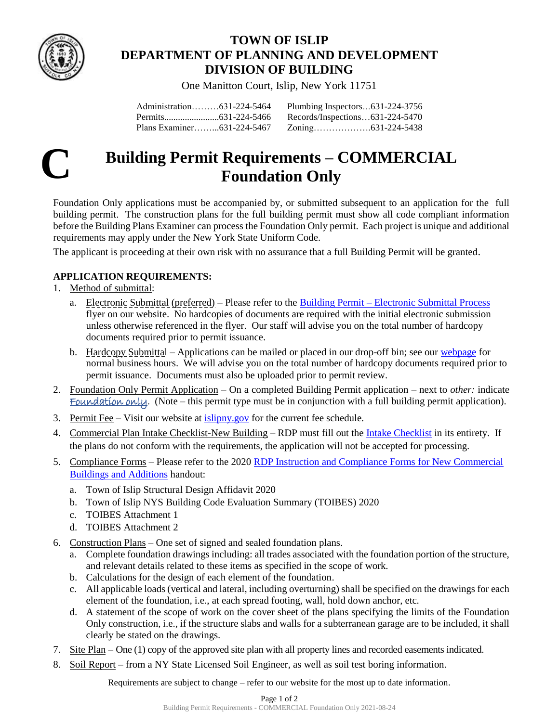

# **TOWN OF ISLIP DEPARTMENT OF PLANNING AND DEVELOPMENT DIVISION OF BUILDING**

One Manitton Court, Islip, New York 11751

| Administration631-224-5464 | Plumbing Inspectors631-224-3756 |  |
|----------------------------|---------------------------------|--|
|                            | Records/Inspections631-224-5470 |  |
| Plans Examiner631-224-5467 |                                 |  |



# **Building Permit Requirements – COMMERCIAL Foundation Only**

Foundation Only applications must be accompanied by, or submitted subsequent to an application for the full building permit. The construction plans for the full building permit must show all code compliant information before the Building Plans Examiner can process the Foundation Only permit. Each project is unique and additional requirements may apply under the New York State Uniform Code.

The applicant is proceeding at their own risk with no assurance that a full Building Permit will be granted.

## **APPLICATION REQUIREMENTS:**

- 1. Method of submittal:
	- a. Electronic Submittal (preferred) Please refer to the Building Permit [Electronic Submittal Process](https://islipny.gov/building-division-permits-list/986-document-upload-instructions-for-electronic-submissions-building/file) flyer on our website. No hardcopies of documents are required with the initial electronic submission unless otherwise referenced in the flyer. Our staff will advise you on the total number of hardcopy documents required prior to permit issuance.
	- b. Hardcopy Submittal Applications can be mailed or placed in our drop-off bin; see our [webpage](https://islipny.gov/departments/planning-and-development/building-division-permits-section) for normal business hours. We will advise you on the total number of hardcopy documents required prior to permit issuance. Documents must also be uploaded prior to permit review.
- 2. Foundation Only Permit Application On a completed Building Permit application next to *other:* indicate Foundation only. (Note – this permit type must be in conjunction with a full building permit application).
- 3. Permit Fee Visit our website at [islipny.gov](http://www.islipny.gov/) for the current fee schedule.
- 4. Commercial Plan Intake Checklist-New Building RDP must fill out the [Intake Checklist](file://///pddata/blddata/Administration/Applications%20&%20Forms/Amendment%20to%20Certificate%20of%20Occuhttps:/islipny.gov/building-division-permits-list/1040-building-permit-requirements-commercial-plan-intake-checklist-new-building/filepancy%20Permit%20Application%202019-02-13.pdf) in its entirety. If the plans do not conform with the requirements, the application will not be accepted for processing.
- 5. Compliance Forms Please refer to the 2020 [RDP Instruction and Compliance Forms for New Commercial](https://islipny.gov/building-division-permits-list/322-new-york-state-building-code-evaluation-summary/file)  [Buildings and Additions](https://islipny.gov/building-division-permits-list/322-new-york-state-building-code-evaluation-summary/file) handout:
	- a. Town of Islip Structural Design Affidavit 2020
	- b. Town of Islip NYS Building Code Evaluation Summary (TOIBES) 2020
	- c. TOIBES Attachment 1
	- d. TOIBES Attachment 2
- 6. Construction Plans One set of signed and sealed foundation plans.
	- a. Complete foundation drawings including: all trades associated with the foundation portion of the structure, and relevant details related to these items as specified in the scope of work.
	- b. Calculations for the design of each element of the foundation.
	- c. All applicable loads (vertical and lateral, including overturning) shall be specified on the drawings for each element of the foundation, i.e., at each spread footing, wall, hold down anchor, etc.
	- d. A statement of the scope of work on the cover sheet of the plans specifying the limits of the Foundation Only construction, i.e., if the structure slabs and walls for a subterranean garage are to be included, it shall clearly be stated on the drawings.
- 7. Site Plan One (1) copy of the approved site plan with all property lines and recorded easements indicated.
- 8. Soil Report from a NY State Licensed Soil Engineer, as well as soil test boring information.

Requirements are subject to change – refer to our website for the most up to date information.